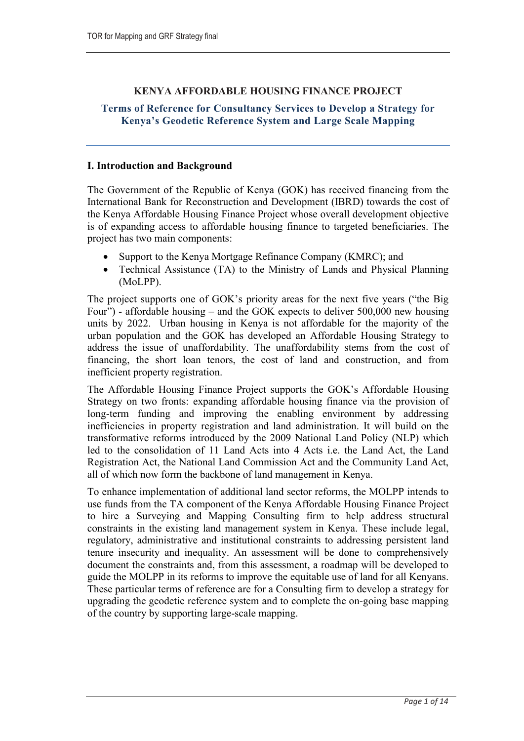### KENYA AFFORDABLE HOUSING FINANCE PROJECT

### Terms of Reference for Consultancy Services to Develop a Strategy for Kenya's Geodetic Reference System and Large Scale Mapping

#### I. Introduction and Background

The Government of the Republic of Kenya (GOK) has received financing from the International Bank for Reconstruction and Development (IBRD) towards the cost of the Kenya Affordable Housing Finance Project whose overall development objective is of expanding access to affordable housing finance to targeted beneficiaries. The project has two main components:

- Support to the Kenya Mortgage Refinance Company (KMRC); and
- Technical Assistance (TA) to the Ministry of Lands and Physical Planning (MoLPP).

The project supports one of GOK's priority areas for the next five years ("the Big Four") - affordable housing – and the GOK expects to deliver 500,000 new housing units by 2022. Urban housing in Kenya is not affordable for the majority of the urban population and the GOK has developed an Affordable Housing Strategy to address the issue of unaffordability. The unaffordability stems from the cost of financing, the short loan tenors, the cost of land and construction, and from inefficient property registration.

The Affordable Housing Finance Project supports the GOK's Affordable Housing Strategy on two fronts: expanding affordable housing finance via the provision of long-term funding and improving the enabling environment by addressing inefficiencies in property registration and land administration. It will build on the transformative reforms introduced by the 2009 National Land Policy (NLP) which led to the consolidation of 11 Land Acts into 4 Acts i.e. the Land Act, the Land Registration Act, the National Land Commission Act and the Community Land Act, all of which now form the backbone of land management in Kenya.

To enhance implementation of additional land sector reforms, the MOLPP intends to use funds from the TA component of the Kenya Affordable Housing Finance Project to hire a Surveying and Mapping Consulting firm to help address structural constraints in the existing land management system in Kenya. These include legal, regulatory, administrative and institutional constraints to addressing persistent land tenure insecurity and inequality. An assessment will be done to comprehensively document the constraints and, from this assessment, a roadmap will be developed to guide the MOLPP in its reforms to improve the equitable use of land for all Kenyans. These particular terms of reference are for a Consulting firm to develop a strategy for upgrading the geodetic reference system and to complete the on-going base mapping of the country by supporting large-scale mapping.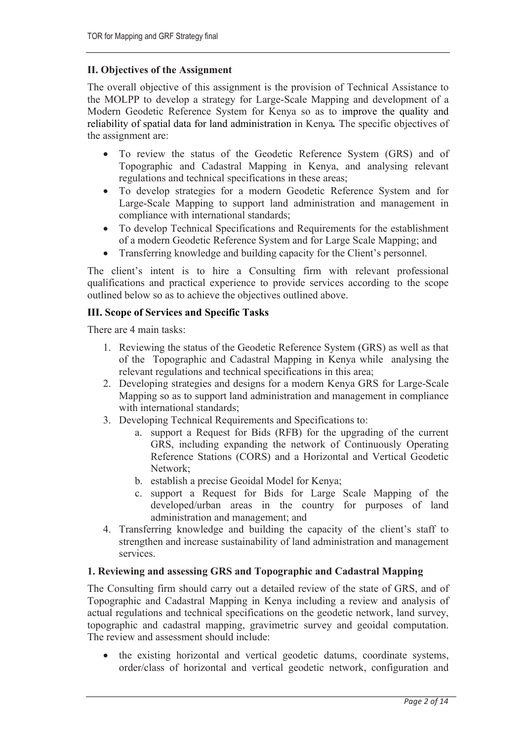## II. Objectives of the Assignment

The overall objective of this assignment is the provision of Technical Assistance to the MOLPP to develop a strategy for Large-Scale Mapping and development of a Modern Geodetic Reference System for Kenya so as to improve the quality and reliability of spatial data for land administration in Kenya. The specific objectives of the assignment are:

- To review the status of the Geodetic Reference System (GRS) and of Topographic and Cadastral Mapping in Kenya, and analysing relevant regulations and technical specifications in these areas;
- To develop strategies for a modern Geodetic Reference System and for Large-Scale Mapping to support land administration and management in compliance with international standards;
- To develop Technical Specifications and Requirements for the establishment of a modern Geodetic Reference System and for Large Scale Mapping; and
- Transferring knowledge and building capacity for the Client's personnel.

The client's intent is to hire a Consulting firm with relevant professional qualifications and practical experience to provide services according to the scope outlined below so as to achieve the objectives outlined above.

### III. Scope of Services and Specific Tasks

There are 4 main tasks:

- 1. Reviewing the status of the Geodetic Reference System (GRS) as well as that of the Topographic and Cadastral Mapping in Kenya while analysing the relevant regulations and technical specifications in this area;
- 2. Developing strategies and designs for a modern Kenya GRS for Large-Scale Mapping so as to support land administration and management in compliance with international standards;
- 3. Developing Technical Requirements and Specifications to:
	- a. support a Request for Bids (RFB) for the upgrading of the current GRS, including expanding the network of Continuously Operating Reference Stations (CORS) and a Horizontal and Vertical Geodetic Network;
	- b. establish a precise Geoidal Model for Kenya;
	- c. support a Request for Bids for Large Scale Mapping of the developed/urban areas in the country for purposes of land administration and management; and
- 4. Transferring knowledge and building the capacity of the client's staff to strengthen and increase sustainability of land administration and management services.

### 1. Reviewing and assessing GRS and Topographic and Cadastral Mapping

The Consulting firm should carry out a detailed review of the state of GRS, and of Topographic and Cadastral Mapping in Kenya including a review and analysis of actual regulations and technical specifications on the geodetic network, land survey, topographic and cadastral mapping, gravimetric survey and geoidal computation. The review and assessment should include:

 the existing horizontal and vertical geodetic datums, coordinate systems, order/class of horizontal and vertical geodetic network, configuration and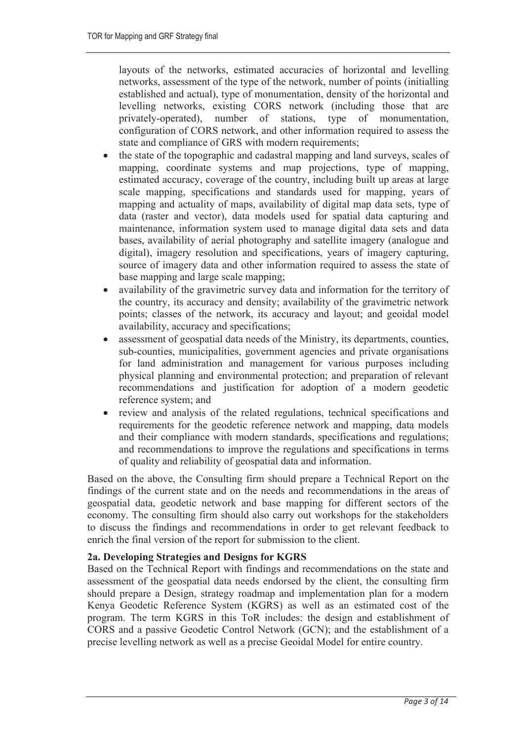layouts of the networks, estimated accuracies of horizontal and levelling networks, assessment of the type of the network, number of points (initialling established and actual), type of monumentation, density of the horizontal and levelling networks, existing CORS network (including those that are privately-operated), number of stations, type of monumentation, configuration of CORS network, and other information required to assess the state and compliance of GRS with modern requirements;

- the state of the topographic and cadastral mapping and land surveys, scales of mapping, coordinate systems and map projections, type of mapping, estimated accuracy, coverage of the country, including built up areas at large scale mapping, specifications and standards used for mapping, years of mapping and actuality of maps, availability of digital map data sets, type of data (raster and vector), data models used for spatial data capturing and maintenance, information system used to manage digital data sets and data bases, availability of aerial photography and satellite imagery (analogue and digital), imagery resolution and specifications, years of imagery capturing, source of imagery data and other information required to assess the state of base mapping and large scale mapping;
- availability of the gravimetric survey data and information for the territory of the country, its accuracy and density; availability of the gravimetric network points; classes of the network, its accuracy and layout; and geoidal model availability, accuracy and specifications;
- assessment of geospatial data needs of the Ministry, its departments, counties, sub-counties, municipalities, government agencies and private organisations for land administration and management for various purposes including physical planning and environmental protection; and preparation of relevant recommendations and justification for adoption of a modern geodetic reference system; and
- review and analysis of the related regulations, technical specifications and requirements for the geodetic reference network and mapping, data models and their compliance with modern standards, specifications and regulations; and recommendations to improve the regulations and specifications in terms of quality and reliability of geospatial data and information.

Based on the above, the Consulting firm should prepare a Technical Report on the findings of the current state and on the needs and recommendations in the areas of geospatial data, geodetic network and base mapping for different sectors of the economy. The consulting firm should also carry out workshops for the stakeholders to discuss the findings and recommendations in order to get relevant feedback to enrich the final version of the report for submission to the client.

# 2a. Developing Strategies and Designs for KGRS

Based on the Technical Report with findings and recommendations on the state and assessment of the geospatial data needs endorsed by the client, the consulting firm should prepare a Design, strategy roadmap and implementation plan for a modern Kenya Geodetic Reference System (KGRS) as well as an estimated cost of the program. The term KGRS in this ToR includes: the design and establishment of CORS and a passive Geodetic Control Network (GCN); and the establishment of a precise levelling network as well as a precise Geoidal Model for entire country.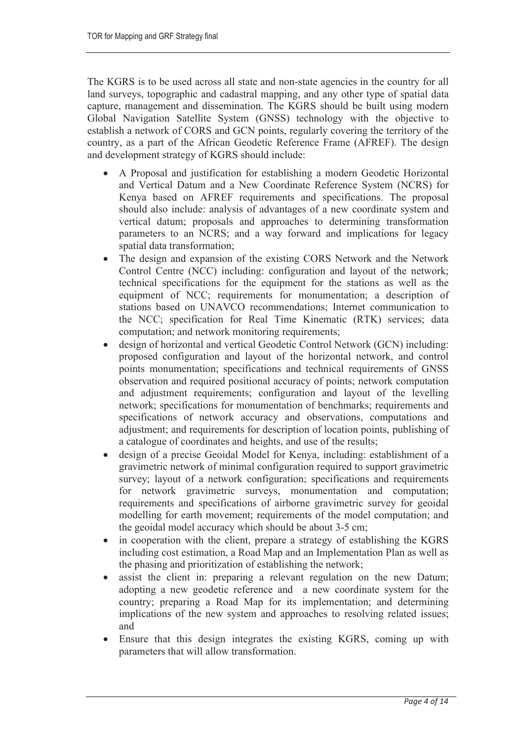The KGRS is to be used across all state and non-state agencies in the country for all land surveys, topographic and cadastral mapping, and any other type of spatial data capture, management and dissemination. The KGRS should be built using modern Global Navigation Satellite System (GNSS) technology with the objective to establish a network of CORS and GCN points, regularly covering the territory of the country, as a part of the African Geodetic Reference Frame (AFREF). The design and development strategy of KGRS should include:

- A Proposal and justification for establishing a modern Geodetic Horizontal and Vertical Datum and a New Coordinate Reference System (NCRS) for Kenya based on AFREF requirements and specifications. The proposal should also include: analysis of advantages of a new coordinate system and vertical datum; proposals and approaches to determining transformation parameters to an NCRS; and a way forward and implications for legacy spatial data transformation;
- The design and expansion of the existing CORS Network and the Network Control Centre (NCC) including: configuration and layout of the network; technical specifications for the equipment for the stations as well as the equipment of NCC; requirements for monumentation; a description of stations based on UNAVCO recommendations; Internet communication to the NCC; specification for Real Time Kinematic (RTK) services; data computation; and network monitoring requirements;
- design of horizontal and vertical Geodetic Control Network (GCN) including: proposed configuration and layout of the horizontal network, and control points monumentation; specifications and technical requirements of GNSS observation and required positional accuracy of points; network computation and adjustment requirements; configuration and layout of the levelling network; specifications for monumentation of benchmarks; requirements and specifications of network accuracy and observations, computations and adjustment; and requirements for description of location points, publishing of a catalogue of coordinates and heights, and use of the results;
- design of a precise Geoidal Model for Kenya, including: establishment of a gravimetric network of minimal configuration required to support gravimetric survey; layout of a network configuration; specifications and requirements for network gravimetric surveys, monumentation and computation; requirements and specifications of airborne gravimetric survey for geoidal modelling for earth movement; requirements of the model computation; and the geoidal model accuracy which should be about 3-5 cm;
- in cooperation with the client, prepare a strategy of establishing the KGRS including cost estimation, a Road Map and an Implementation Plan as well as the phasing and prioritization of establishing the network;
- assist the client in: preparing a relevant regulation on the new Datum; adopting a new geodetic reference and a new coordinate system for the country; preparing a Road Map for its implementation; and determining implications of the new system and approaches to resolving related issues; and
- Ensure that this design integrates the existing KGRS, coming up with parameters that will allow transformation.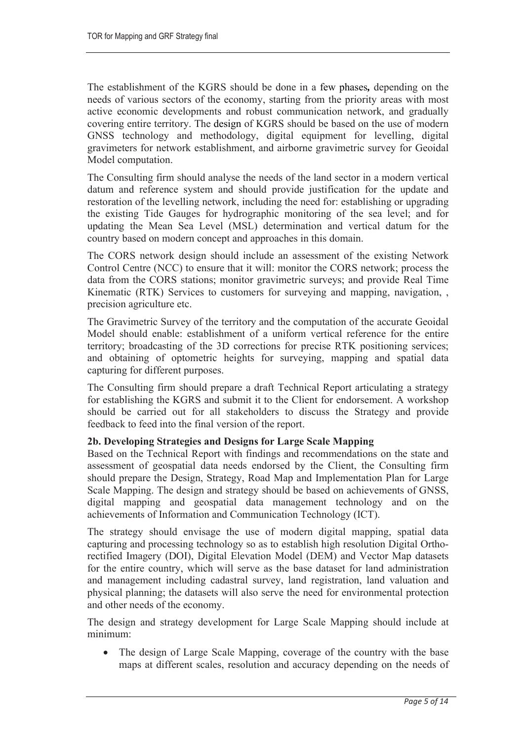The establishment of the KGRS should be done in a few phases, depending on the needs of various sectors of the economy, starting from the priority areas with most active economic developments and robust communication network, and gradually covering entire territory. The design of KGRS should be based on the use of modern GNSS technology and methodology, digital equipment for levelling, digital gravimeters for network establishment, and airborne gravimetric survey for Geoidal Model computation.

The Consulting firm should analyse the needs of the land sector in a modern vertical datum and reference system and should provide justification for the update and restoration of the levelling network, including the need for: establishing or upgrading the existing Tide Gauges for hydrographic monitoring of the sea level; and for updating the Mean Sea Level (MSL) determination and vertical datum for the country based on modern concept and approaches in this domain.

The CORS network design should include an assessment of the existing Network Control Centre (NCC) to ensure that it will: monitor the CORS network; process the data from the CORS stations; monitor gravimetric surveys; and provide Real Time Kinematic (RTK) Services to customers for surveying and mapping, navigation, , precision agriculture etc.

The Gravimetric Survey of the territory and the computation of the accurate Geoidal Model should enable: establishment of a uniform vertical reference for the entire territory; broadcasting of the 3D corrections for precise RTK positioning services; and obtaining of optometric heights for surveying, mapping and spatial data capturing for different purposes.

The Consulting firm should prepare a draft Technical Report articulating a strategy for establishing the KGRS and submit it to the Client for endorsement. A workshop should be carried out for all stakeholders to discuss the Strategy and provide feedback to feed into the final version of the report.

### 2b. Developing Strategies and Designs for Large Scale Mapping

Based on the Technical Report with findings and recommendations on the state and assessment of geospatial data needs endorsed by the Client, the Consulting firm should prepare the Design, Strategy, Road Map and Implementation Plan for Large Scale Mapping. The design and strategy should be based on achievements of GNSS, digital mapping and geospatial data management technology and on the achievements of Information and Communication Technology (ICT).

The strategy should envisage the use of modern digital mapping, spatial data capturing and processing technology so as to establish high resolution Digital Orthorectified Imagery (DOI), Digital Elevation Model (DEM) and Vector Map datasets for the entire country, which will serve as the base dataset for land administration and management including cadastral survey, land registration, land valuation and physical planning; the datasets will also serve the need for environmental protection and other needs of the economy.

The design and strategy development for Large Scale Mapping should include at minimum:

• The design of Large Scale Mapping, coverage of the country with the base maps at different scales, resolution and accuracy depending on the needs of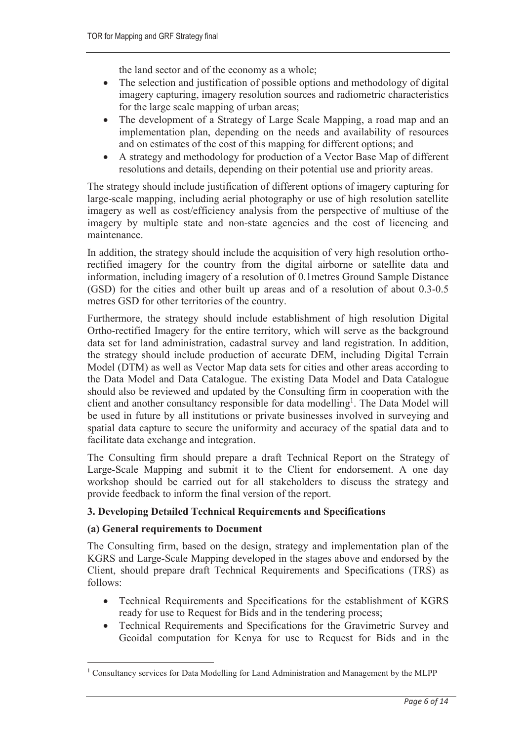the land sector and of the economy as a whole;

- The selection and justification of possible options and methodology of digital imagery capturing, imagery resolution sources and radiometric characteristics for the large scale mapping of urban areas;
- The development of a Strategy of Large Scale Mapping, a road map and an implementation plan, depending on the needs and availability of resources and on estimates of the cost of this mapping for different options; and
- A strategy and methodology for production of a Vector Base Map of different resolutions and details, depending on their potential use and priority areas.

The strategy should include justification of different options of imagery capturing for large-scale mapping, including aerial photography or use of high resolution satellite imagery as well as cost/efficiency analysis from the perspective of multiuse of the imagery by multiple state and non-state agencies and the cost of licencing and maintenance.

In addition, the strategy should include the acquisition of very high resolution orthorectified imagery for the country from the digital airborne or satellite data and information, including imagery of a resolution of 0.1metres Ground Sample Distance (GSD) for the cities and other built up areas and of a resolution of about 0.3-0.5 metres GSD for other territories of the country.

Furthermore, the strategy should include establishment of high resolution Digital Ortho-rectified Imagery for the entire territory, which will serve as the background data set for land administration, cadastral survey and land registration. In addition, the strategy should include production of accurate DEM, including Digital Terrain Model (DTM) as well as Vector Map data sets for cities and other areas according to the Data Model and Data Catalogue. The existing Data Model and Data Catalogue should also be reviewed and updated by the Consulting firm in cooperation with the client and another consultancy responsible for data modelling<sup>1</sup>. The Data Model will be used in future by all institutions or private businesses involved in surveying and spatial data capture to secure the uniformity and accuracy of the spatial data and to facilitate data exchange and integration.

The Consulting firm should prepare a draft Technical Report on the Strategy of Large-Scale Mapping and submit it to the Client for endorsement. A one day workshop should be carried out for all stakeholders to discuss the strategy and provide feedback to inform the final version of the report.

### 3. Developing Detailed Technical Requirements and Specifications

### (a) General requirements to Document

The Consulting firm, based on the design, strategy and implementation plan of the KGRS and Large-Scale Mapping developed in the stages above and endorsed by the Client, should prepare draft Technical Requirements and Specifications (TRS) as follows:

- Technical Requirements and Specifications for the establishment of KGRS ready for use to Request for Bids and in the tendering process;
- Technical Requirements and Specifications for the Gravimetric Survey and Geoidal computation for Kenya for use to Request for Bids and in the

<sup>&</sup>lt;sup>1</sup> Consultancy services for Data Modelling for Land Administration and Management by the MLPP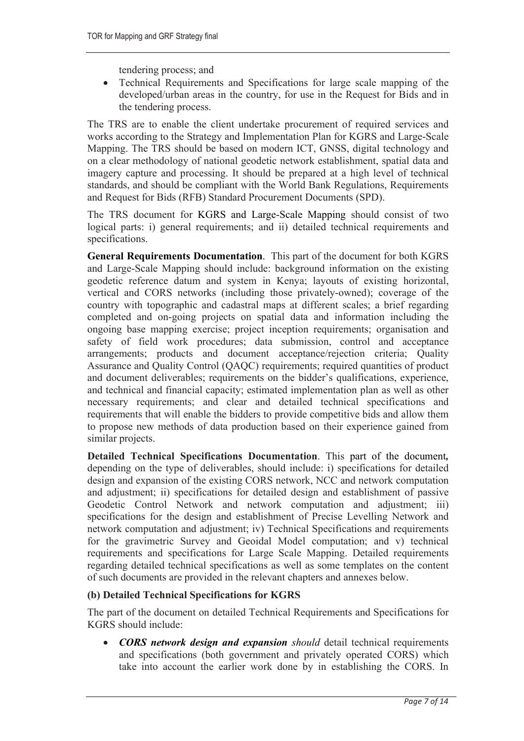tendering process; and

 Technical Requirements and Specifications for large scale mapping of the developed/urban areas in the country, for use in the Request for Bids and in the tendering process.

The TRS are to enable the client undertake procurement of required services and works according to the Strategy and Implementation Plan for KGRS and Large-Scale Mapping. The TRS should be based on modern ICT, GNSS, digital technology and on a clear methodology of national geodetic network establishment, spatial data and imagery capture and processing. It should be prepared at a high level of technical standards, and should be compliant with the World Bank Regulations, Requirements and Request for Bids (RFB) Standard Procurement Documents (SPD).

The TRS document for KGRS and Large-Scale Mapping should consist of two logical parts: i) general requirements; and ii) detailed technical requirements and specifications.

General Requirements Documentation. This part of the document for both KGRS and Large-Scale Mapping should include: background information on the existing geodetic reference datum and system in Kenya; layouts of existing horizontal, vertical and CORS networks (including those privately-owned); coverage of the country with topographic and cadastral maps at different scales; a brief regarding completed and on-going projects on spatial data and information including the ongoing base mapping exercise; project inception requirements; organisation and safety of field work procedures; data submission, control and acceptance arrangements; products and document acceptance/rejection criteria; Quality Assurance and Quality Control (QAQC) requirements; required quantities of product and document deliverables; requirements on the bidder's qualifications, experience, and technical and financial capacity; estimated implementation plan as well as other necessary requirements; and clear and detailed technical specifications and requirements that will enable the bidders to provide competitive bids and allow them to propose new methods of data production based on their experience gained from similar projects.

Detailed Technical Specifications Documentation. This part of the document, depending on the type of deliverables, should include: i) specifications for detailed design and expansion of the existing CORS network, NCC and network computation and adjustment; ii) specifications for detailed design and establishment of passive Geodetic Control Network and network computation and adjustment; iii) specifications for the design and establishment of Precise Levelling Network and network computation and adjustment; iv) Technical Specifications and requirements for the gravimetric Survey and Geoidal Model computation; and v) technical requirements and specifications for Large Scale Mapping. Detailed requirements regarding detailed technical specifications as well as some templates on the content of such documents are provided in the relevant chapters and annexes below.

### (b) Detailed Technical Specifications for KGRS

The part of the document on detailed Technical Requirements and Specifications for KGRS should include:

• CORS network design and expansion should detail technical requirements and specifications (both government and privately operated CORS) which take into account the earlier work done by in establishing the CORS. In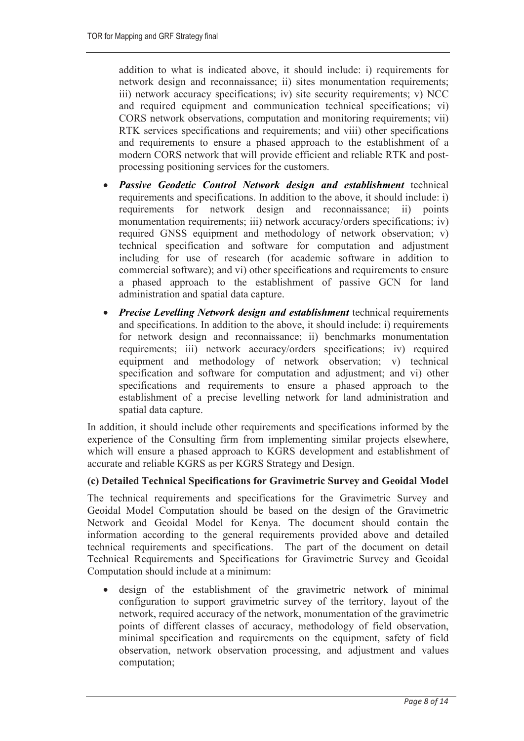addition to what is indicated above, it should include: i) requirements for network design and reconnaissance; ii) sites monumentation requirements; iii) network accuracy specifications; iv) site security requirements; v) NCC and required equipment and communication technical specifications; vi) CORS network observations, computation and monitoring requirements; vii) RTK services specifications and requirements; and viii) other specifications and requirements to ensure a phased approach to the establishment of a modern CORS network that will provide efficient and reliable RTK and postprocessing positioning services for the customers.

- Passive Geodetic Control Network design and establishment technical requirements and specifications. In addition to the above, it should include: i) requirements for network design and reconnaissance; ii) points monumentation requirements; iii) network accuracy/orders specifications; iv) required GNSS equipment and methodology of network observation; v) technical specification and software for computation and adjustment including for use of research (for academic software in addition to commercial software); and vi) other specifications and requirements to ensure a phased approach to the establishment of passive GCN for land administration and spatial data capture.
- Precise Levelling Network design and establishment technical requirements and specifications. In addition to the above, it should include: i) requirements for network design and reconnaissance; ii) benchmarks monumentation requirements; iii) network accuracy/orders specifications; iv) required equipment and methodology of network observation; v) technical specification and software for computation and adjustment; and vi) other specifications and requirements to ensure a phased approach to the establishment of a precise levelling network for land administration and spatial data capture.

In addition, it should include other requirements and specifications informed by the experience of the Consulting firm from implementing similar projects elsewhere, which will ensure a phased approach to KGRS development and establishment of accurate and reliable KGRS as per KGRS Strategy and Design.

### (c) Detailed Technical Specifications for Gravimetric Survey and Geoidal Model

The technical requirements and specifications for the Gravimetric Survey and Geoidal Model Computation should be based on the design of the Gravimetric Network and Geoidal Model for Kenya. The document should contain the information according to the general requirements provided above and detailed technical requirements and specifications. The part of the document on detail Technical Requirements and Specifications for Gravimetric Survey and Geoidal Computation should include at a minimum:

 design of the establishment of the gravimetric network of minimal configuration to support gravimetric survey of the territory, layout of the network, required accuracy of the network, monumentation of the gravimetric points of different classes of accuracy, methodology of field observation, minimal specification and requirements on the equipment, safety of field observation, network observation processing, and adjustment and values computation;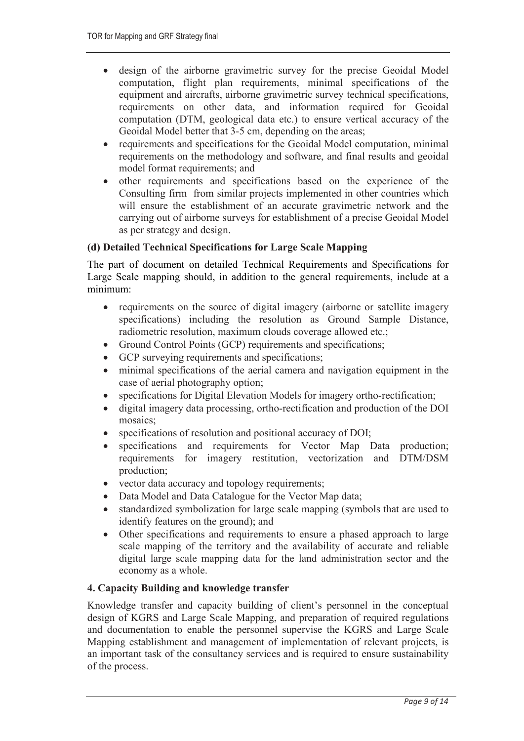- design of the airborne gravimetric survey for the precise Geoidal Model computation, flight plan requirements, minimal specifications of the equipment and aircrafts, airborne gravimetric survey technical specifications, requirements on other data, and information required for Geoidal computation (DTM, geological data etc.) to ensure vertical accuracy of the Geoidal Model better that 3-5 cm, depending on the areas;
- requirements and specifications for the Geoidal Model computation, minimal requirements on the methodology and software, and final results and geoidal model format requirements; and
- other requirements and specifications based on the experience of the Consulting firm from similar projects implemented in other countries which will ensure the establishment of an accurate gravimetric network and the carrying out of airborne surveys for establishment of a precise Geoidal Model as per strategy and design.

### (d) Detailed Technical Specifications for Large Scale Mapping

The part of document on detailed Technical Requirements and Specifications for Large Scale mapping should, in addition to the general requirements, include at a minimum:

- requirements on the source of digital imagery (airborne or satellite imagery specifications) including the resolution as Ground Sample Distance, radiometric resolution, maximum clouds coverage allowed etc.;
- Ground Control Points (GCP) requirements and specifications;
- GCP surveying requirements and specifications;
- minimal specifications of the aerial camera and navigation equipment in the case of aerial photography option;
- specifications for Digital Elevation Models for imagery ortho-rectification;
- digital imagery data processing, ortho-rectification and production of the DOI mosaics;
- specifications of resolution and positional accuracy of DOI;
- specifications and requirements for Vector Map Data production; requirements for imagery restitution, vectorization and DTM/DSM production;
- vector data accuracy and topology requirements;
- Data Model and Data Catalogue for the Vector Map data;
- standardized symbolization for large scale mapping (symbols that are used to identify features on the ground); and
- Other specifications and requirements to ensure a phased approach to large scale mapping of the territory and the availability of accurate and reliable digital large scale mapping data for the land administration sector and the economy as a whole.

### 4. Capacity Building and knowledge transfer

Knowledge transfer and capacity building of client's personnel in the conceptual design of KGRS and Large Scale Mapping, and preparation of required regulations and documentation to enable the personnel supervise the KGRS and Large Scale Mapping establishment and management of implementation of relevant projects, is an important task of the consultancy services and is required to ensure sustainability of the process.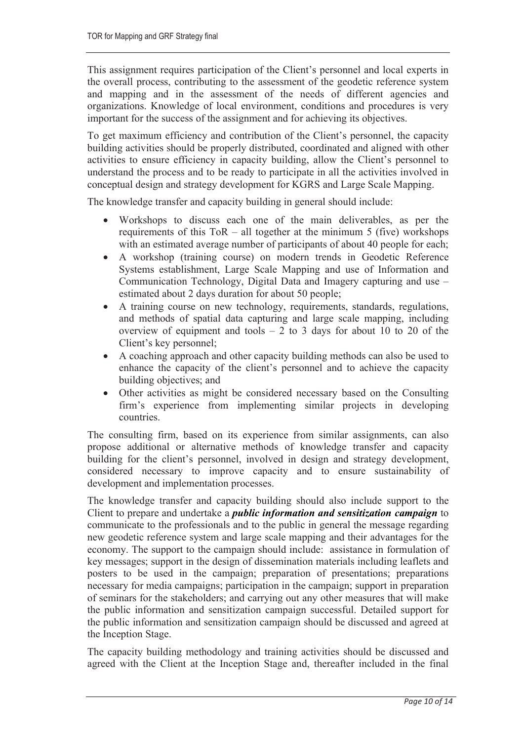This assignment requires participation of the Client's personnel and local experts in the overall process, contributing to the assessment of the geodetic reference system and mapping and in the assessment of the needs of different agencies and organizations. Knowledge of local environment, conditions and procedures is very important for the success of the assignment and for achieving its objectives.

To get maximum efficiency and contribution of the Client's personnel, the capacity building activities should be properly distributed, coordinated and aligned with other activities to ensure efficiency in capacity building, allow the Client's personnel to understand the process and to be ready to participate in all the activities involved in conceptual design and strategy development for KGRS and Large Scale Mapping.

The knowledge transfer and capacity building in general should include:

- Workshops to discuss each one of the main deliverables, as per the requirements of this  $ToR - all together at the minimum 5 (five) workshops$ with an estimated average number of participants of about 40 people for each;
- A workshop (training course) on modern trends in Geodetic Reference Systems establishment, Large Scale Mapping and use of Information and Communication Technology, Digital Data and Imagery capturing and use – estimated about 2 days duration for about 50 people;
- A training course on new technology, requirements, standards, regulations, and methods of spatial data capturing and large scale mapping, including overview of equipment and tools  $-2$  to 3 days for about 10 to 20 of the Client's key personnel;
- A coaching approach and other capacity building methods can also be used to enhance the capacity of the client's personnel and to achieve the capacity building objectives; and
- Other activities as might be considered necessary based on the Consulting firm's experience from implementing similar projects in developing countries.

The consulting firm, based on its experience from similar assignments, can also propose additional or alternative methods of knowledge transfer and capacity building for the client's personnel, involved in design and strategy development, considered necessary to improve capacity and to ensure sustainability of development and implementation processes.

The knowledge transfer and capacity building should also include support to the Client to prepare and undertake a *public information and sensitization campaign* to communicate to the professionals and to the public in general the message regarding new geodetic reference system and large scale mapping and their advantages for the economy. The support to the campaign should include: assistance in formulation of key messages; support in the design of dissemination materials including leaflets and posters to be used in the campaign; preparation of presentations; preparations necessary for media campaigns; participation in the campaign; support in preparation of seminars for the stakeholders; and carrying out any other measures that will make the public information and sensitization campaign successful. Detailed support for the public information and sensitization campaign should be discussed and agreed at the Inception Stage.

The capacity building methodology and training activities should be discussed and agreed with the Client at the Inception Stage and, thereafter included in the final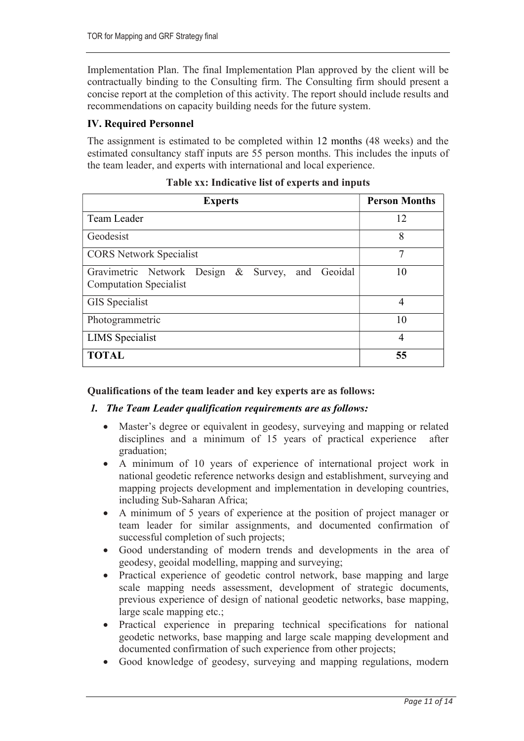Implementation Plan. The final Implementation Plan approved by the client will be contractually binding to the Consulting firm. The Consulting firm should present a concise report at the completion of this activity. The report should include results and recommendations on capacity building needs for the future system.

# IV. Required Personnel

The assignment is estimated to be completed within 12 months (48 weeks) and the estimated consultancy staff inputs are 55 person months. This includes the inputs of the team leader, and experts with international and local experience.

| <b>Experts</b>                                                                    | <b>Person Months</b> |
|-----------------------------------------------------------------------------------|----------------------|
| Team Leader                                                                       | 12                   |
| Geodesist                                                                         | 8                    |
| <b>CORS</b> Network Specialist                                                    | 7                    |
| Gravimetric Network Design & Survey, and Geoidal<br><b>Computation Specialist</b> | 10                   |
| GIS Specialist                                                                    | 4                    |
| Photogrammetric                                                                   | 10                   |
| <b>LIMS</b> Specialist                                                            | 4                    |
| <b>TOTAL</b>                                                                      | 55                   |

### Table xx: Indicative list of experts and inputs

### Qualifications of the team leader and key experts are as follows:

### 1. The Team Leader qualification requirements are as follows:

- Master's degree or equivalent in geodesy, surveying and mapping or related disciplines and a minimum of 15 years of practical experience after graduation;
- A minimum of 10 years of experience of international project work in national geodetic reference networks design and establishment, surveying and mapping projects development and implementation in developing countries, including Sub-Saharan Africa;
- A minimum of 5 years of experience at the position of project manager or team leader for similar assignments, and documented confirmation of successful completion of such projects;
- Good understanding of modern trends and developments in the area of geodesy, geoidal modelling, mapping and surveying;
- Practical experience of geodetic control network, base mapping and large scale mapping needs assessment, development of strategic documents, previous experience of design of national geodetic networks, base mapping, large scale mapping etc.;
- Practical experience in preparing technical specifications for national geodetic networks, base mapping and large scale mapping development and documented confirmation of such experience from other projects;
- Good knowledge of geodesy, surveying and mapping regulations, modern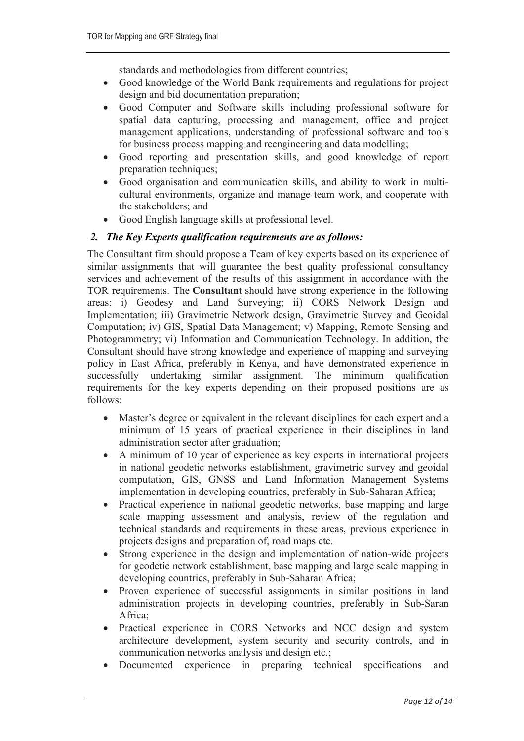standards and methodologies from different countries;

- Good knowledge of the World Bank requirements and regulations for project design and bid documentation preparation;
- Good Computer and Software skills including professional software for spatial data capturing, processing and management, office and project management applications, understanding of professional software and tools for business process mapping and reengineering and data modelling;
- Good reporting and presentation skills, and good knowledge of report preparation techniques;
- Good organisation and communication skills, and ability to work in multicultural environments, organize and manage team work, and cooperate with the stakeholders; and
- Good English language skills at professional level.

### 2. The Key Experts qualification requirements are as follows:

The Consultant firm should propose a Team of key experts based on its experience of similar assignments that will guarantee the best quality professional consultancy services and achievement of the results of this assignment in accordance with the TOR requirements. The Consultant should have strong experience in the following areas: i) Geodesy and Land Surveying; ii) CORS Network Design and Implementation; iii) Gravimetric Network design, Gravimetric Survey and Geoidal Computation; iv) GIS, Spatial Data Management; v) Mapping, Remote Sensing and Photogrammetry; vi) Information and Communication Technology. In addition, the Consultant should have strong knowledge and experience of mapping and surveying policy in East Africa, preferably in Kenya, and have demonstrated experience in successfully undertaking similar assignment. The minimum qualification requirements for the key experts depending on their proposed positions are as follows:

- Master's degree or equivalent in the relevant disciplines for each expert and a minimum of 15 years of practical experience in their disciplines in land administration sector after graduation;
- A minimum of 10 year of experience as key experts in international projects in national geodetic networks establishment, gravimetric survey and geoidal computation, GIS, GNSS and Land Information Management Systems implementation in developing countries, preferably in Sub-Saharan Africa;
- Practical experience in national geodetic networks, base mapping and large scale mapping assessment and analysis, review of the regulation and technical standards and requirements in these areas, previous experience in projects designs and preparation of, road maps etc.
- Strong experience in the design and implementation of nation-wide projects for geodetic network establishment, base mapping and large scale mapping in developing countries, preferably in Sub-Saharan Africa;
- Proven experience of successful assignments in similar positions in land administration projects in developing countries, preferably in Sub-Saran Africa;
- Practical experience in CORS Networks and NCC design and system architecture development, system security and security controls, and in communication networks analysis and design etc.;
- Documented experience in preparing technical specifications and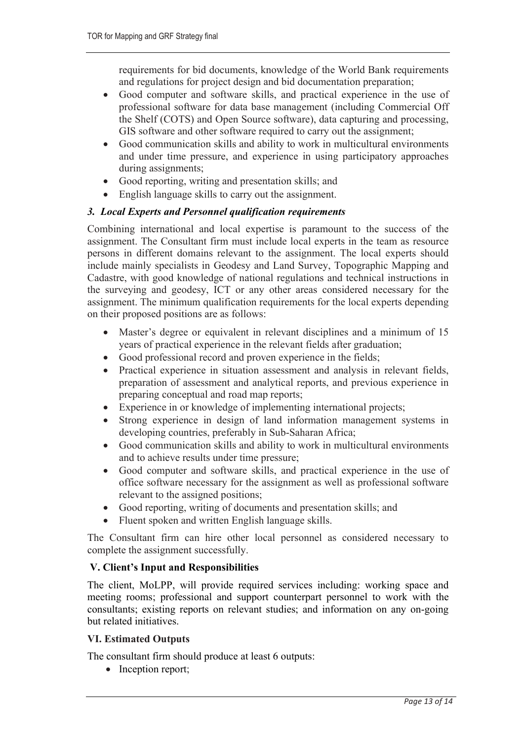requirements for bid documents, knowledge of the World Bank requirements and regulations for project design and bid documentation preparation;

- Good computer and software skills, and practical experience in the use of professional software for data base management (including Commercial Off the Shelf (COTS) and Open Source software), data capturing and processing, GIS software and other software required to carry out the assignment;
- Good communication skills and ability to work in multicultural environments and under time pressure, and experience in using participatory approaches during assignments;
- Good reporting, writing and presentation skills; and
- English language skills to carry out the assignment.

# 3. Local Experts and Personnel qualification requirements

Combining international and local expertise is paramount to the success of the assignment. The Consultant firm must include local experts in the team as resource persons in different domains relevant to the assignment. The local experts should include mainly specialists in Geodesy and Land Survey, Topographic Mapping and Cadastre, with good knowledge of national regulations and technical instructions in the surveying and geodesy, ICT or any other areas considered necessary for the assignment. The minimum qualification requirements for the local experts depending on their proposed positions are as follows:

- Master's degree or equivalent in relevant disciplines and a minimum of 15 years of practical experience in the relevant fields after graduation;
- Good professional record and proven experience in the fields;
- Practical experience in situation assessment and analysis in relevant fields, preparation of assessment and analytical reports, and previous experience in preparing conceptual and road map reports;
- Experience in or knowledge of implementing international projects;
- Strong experience in design of land information management systems in developing countries, preferably in Sub-Saharan Africa;
- Good communication skills and ability to work in multicultural environments and to achieve results under time pressure;
- Good computer and software skills, and practical experience in the use of office software necessary for the assignment as well as professional software relevant to the assigned positions;
- Good reporting, writing of documents and presentation skills; and
- Fluent spoken and written English language skills.

The Consultant firm can hire other local personnel as considered necessary to complete the assignment successfully.

### V. Client's Input and Responsibilities

The client, MoLPP, will provide required services including: working space and meeting rooms; professional and support counterpart personnel to work with the consultants; existing reports on relevant studies; and information on any on-going but related initiatives.

### VI. Estimated Outputs

The consultant firm should produce at least 6 outputs:

• Inception report;